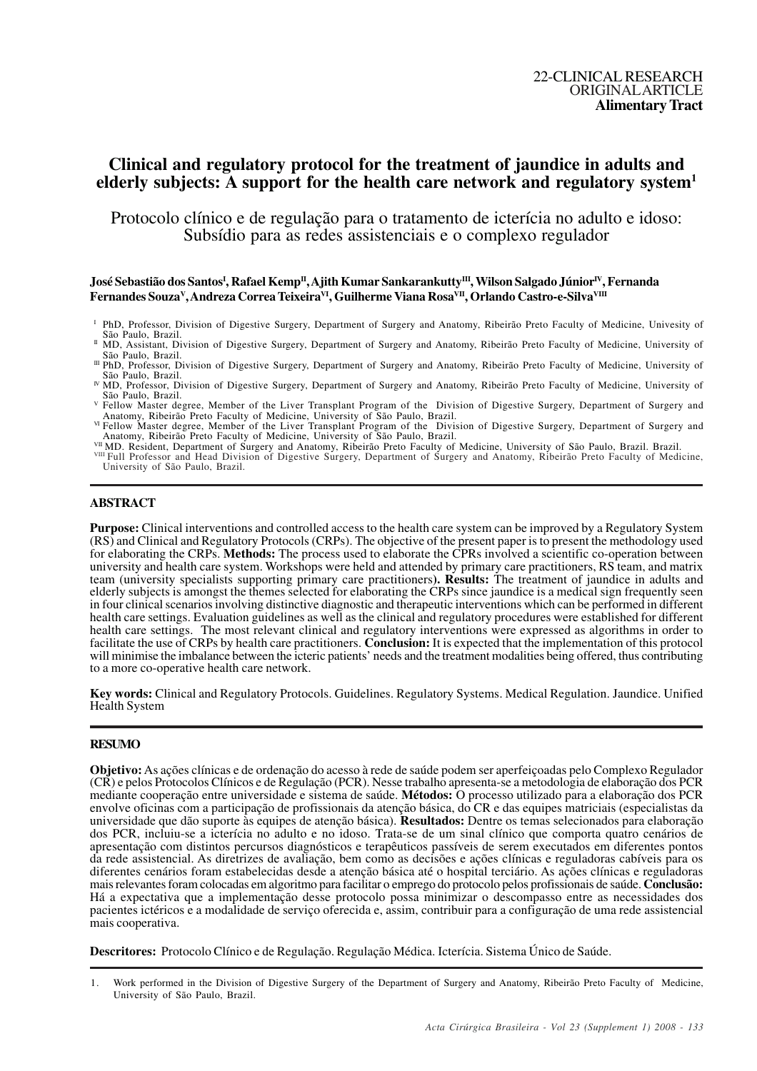# **Clinical and regulatory protocol for the treatment of jaundice in adults and elderly subjects: A support for the health care network and regulatory system<sup>1</sup>**

Protocolo clínico e de regulação para o tratamento de icterícia no adulto e idoso: Subsídio para as redes assistenciais e o complexo regulador

## ${\bf J}$ osé Sebastião dos Santos<sup>I</sup>, Rafael Kemp<sup>II</sup>, Ajith Kumar Sankarankutty<sup>III</sup>, Wilson Salgado Júnior<sup>IV</sup>, Fernanda **Fernandes Souza<sup>V</sup> , Andreza Correa TeixeiraVI, Guilherme Viana RosaVII, Orlando Castro-e-SilvaVIII**

- <sup>I</sup> PhD, Professor, Division of Digestive Surgery, Department of Surgery and Anatomy, Ribeirão Preto Faculty of Medicine, Univesity of São Paulo, Brazil.
- II MD, Assistant, Division of Digestive Surgery, Department of Surgery and Anatomy, Ribeirão Preto Faculty of Medicine, University of São Paulo, Brazil.
- III PhD, Professor, Division of Digestive Surgery, Department of Surgery and Anatomy, Ribeirão Preto Faculty of Medicine, University of São Paulo, Brazil.
- IV MD, Professor, Division of Digestive Surgery, Department of Surgery and Anatomy, Ribeirão Preto Faculty of Medicine, University of São Paulo, Brazil.
- <sup>V</sup> Fellow Master degree, Member of the Liver Transplant Program of the Division of Digestive Surgery, Department of Surgery and Anatomy, Ribeirão Preto Faculty of Medicine, University of São Paulo, Brazil.<br><sup>VI</sup> Fellow Master degree, Member of the Liver Transplant Program of the Division of Digestive Surgery, Department of Surgery and
- Anatomy, Ribeirão Preto Faculty of Medicine, University of São Paulo, Brazil.
- 

<sup>vii</sup> MD. Resident, Department of Surgery and Anatomy, Ribeirão Preto Faculty of Medicine, University of São Paulo, Brazil. Brazil.<br><sup>viii</sup> Full Professor and Head Division of Digestive Surgery, Department of Surgery and An University of São Paulo, Brazil.

## **ABSTRACT**

**Purpose:** Clinical interventions and controlled access to the health care system can be improved by a Regulatory System (RS) and Clinical and Regulatory Protocols (CRPs). The objective of the present paper is to present the methodology used for elaborating the CRPs. **Methods:** The process used to elaborate the CPRs involved a scientific co-operation between university and health care system. Workshops were held and attended by primary care practitioners, RS team, and matrix team (university specialists supporting primary care practitioners**). Results:** The treatment of jaundice in adults and elderly subjects is amongst the themes selected for elaborating the CRPs since jaundice is a medical sign frequently seen in four clinical scenarios involving distinctive diagnostic and therapeutic interventions which can be performed in different health care settings. Evaluation guidelines as well as the clinical and regulatory procedures were established for different health care settings. The most relevant clinical and regulatory interventions were expressed as algorithms in order to facilitate the use of CRPs by health care practitioners. **Conclusion:** It is expected that the implementation of this protocol will minimise the imbalance between the icteric patients' needs and the treatment modalities being offered, thus contributing to a more co-operative health care network.

**Key words:** Clinical and Regulatory Protocols. Guidelines. Regulatory Systems. Medical Regulation. Jaundice. Unified Health System

## **RESUMO**

**Objetivo:**As ações clínicas e de ordenação do acesso à rede de saúde podem ser aperfeiçoadas pelo Complexo Regulador (CR) e pelos Protocolos Clínicos e de Regulação (PCR). Nesse trabalho apresenta-se a metodologia de elaboração dos PCR mediante cooperação entre universidade e sistema de saúde. **Métodos:** O processo utilizado para a elaboração dos PCR envolve oficinas com a participação de profissionais da atenção básica, do CR e das equipes matriciais (especialistas da universidade que dão suporte às equipes de atenção básica). **Resultados:** Dentre os temas selecionados para elaboração dos PCR, incluiu-se a icterícia no adulto e no idoso. Trata-se de um sinal clínico que comporta quatro cenários de apresentação com distintos percursos diagnósticos e terapêuticos passíveis de serem executados em diferentes pontos da rede assistencial. As diretrizes de avaliação, bem como as decisões e ações clínicas e reguladoras cabíveis para os diferentes cenários foram estabelecidas desde a atenção básica até o hospital terciário. As ações clínicas e reguladoras mais relevantes foram colocadas em algoritmo para facilitar o emprego do protocolo pelos profissionais de saúde. **Conclusão:** Há a expectativa que a implementação desse protocolo possa minimizar o descompasso entre as necessidades dos pacientes ictéricos e a modalidade de serviço oferecida e, assim, contribuir para a configuração de uma rede assistencial mais cooperativa.

**Descritores:** Protocolo Clínico e de Regulação. Regulação Médica. Icterícia. Sistema Único de Saúde.

<sup>1.</sup> Work performed in the Division of Digestive Surgery of the Department of Surgery and Anatomy, Ribeirão Preto Faculty of Medicine, University of São Paulo, Brazil.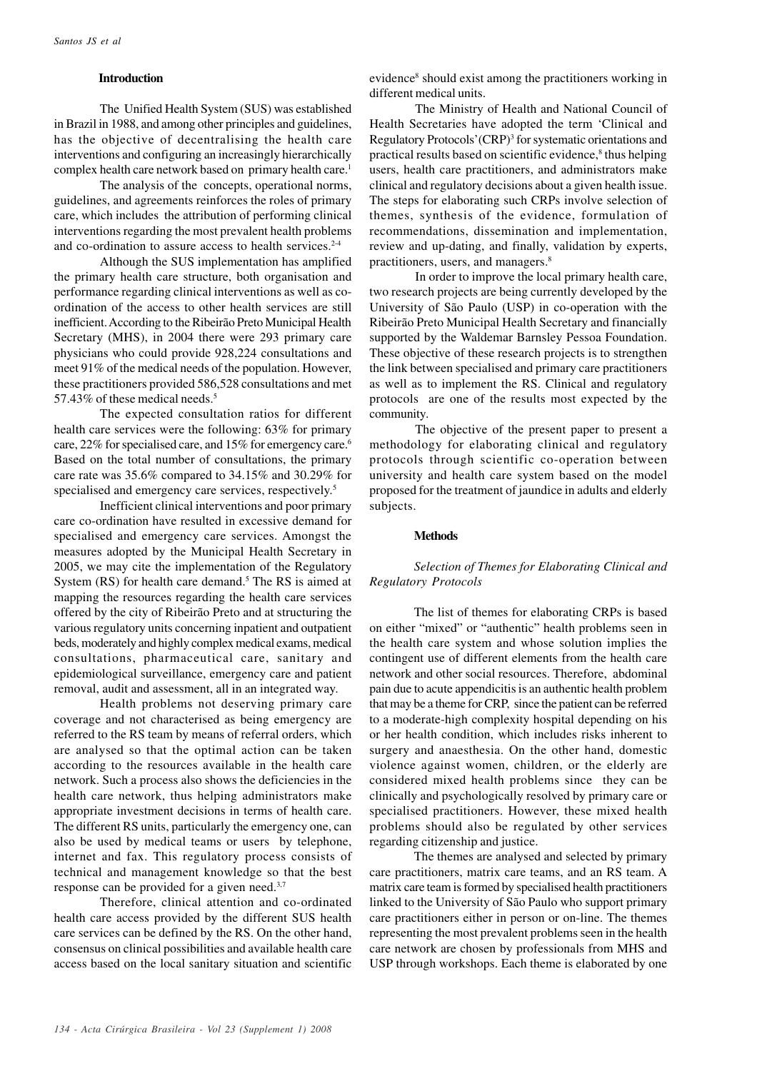### **Introduction**

The Unified Health System (SUS) was established in Brazil in 1988, and among other principles and guidelines, has the objective of decentralising the health care interventions and configuring an increasingly hierarchically complex health care network based on primary health care.<sup>1</sup>

The analysis of the concepts, operational norms, guidelines, and agreements reinforces the roles of primary care, which includes the attribution of performing clinical interventions regarding the most prevalent health problems and co-ordination to assure access to health services.<sup>2-4</sup>

Although the SUS implementation has amplified the primary health care structure, both organisation and performance regarding clinical interventions as well as coordination of the access to other health services are still inefficient. According to the Ribeirão Preto Municipal Health Secretary (MHS), in 2004 there were 293 primary care physicians who could provide 928,224 consultations and meet 91% of the medical needs of the population. However, these practitioners provided 586,528 consultations and met 57.43% of these medical needs.<sup>5</sup>

The expected consultation ratios for different health care services were the following: 63% for primary care, 22% for specialised care, and 15% for emergency care.<sup>6</sup> Based on the total number of consultations, the primary care rate was 35.6% compared to 34.15% and 30.29% for specialised and emergency care services, respectively.<sup>5</sup>

Inefficient clinical interventions and poor primary care co-ordination have resulted in excessive demand for specialised and emergency care services. Amongst the measures adopted by the Municipal Health Secretary in 2005, we may cite the implementation of the Regulatory System (RS) for health care demand.<sup>5</sup> The RS is aimed at mapping the resources regarding the health care services offered by the city of Ribeirão Preto and at structuring the various regulatory units concerning inpatient and outpatient beds, moderately and highly complex medical exams, medical consultations, pharmaceutical care, sanitary and epidemiological surveillance, emergency care and patient removal, audit and assessment, all in an integrated way.

Health problems not deserving primary care coverage and not characterised as being emergency are referred to the RS team by means of referral orders, which are analysed so that the optimal action can be taken according to the resources available in the health care network. Such a process also shows the deficiencies in the health care network, thus helping administrators make appropriate investment decisions in terms of health care. The different RS units, particularly the emergency one, can also be used by medical teams or users by telephone, internet and fax. This regulatory process consists of technical and management knowledge so that the best response can be provided for a given need.3,7

Therefore, clinical attention and co-ordinated health care access provided by the different SUS health care services can be defined by the RS. On the other hand, consensus on clinical possibilities and available health care access based on the local sanitary situation and scientific

evidence<sup>8</sup> should exist among the practitioners working in different medical units.

The Ministry of Health and National Council of Health Secretaries have adopted the term 'Clinical and Regulatory Protocols' (CRP)<sup>3</sup> for systematic orientations and practical results based on scientific evidence,<sup>8</sup> thus helping users, health care practitioners, and administrators make clinical and regulatory decisions about a given health issue. The steps for elaborating such CRPs involve selection of themes, synthesis of the evidence, formulation of recommendations, dissemination and implementation, review and up-dating, and finally, validation by experts, practitioners, users, and managers.<sup>8</sup>

In order to improve the local primary health care, two research projects are being currently developed by the University of São Paulo (USP) in co-operation with the Ribeirão Preto Municipal Health Secretary and financially supported by the Waldemar Barnsley Pessoa Foundation. These objective of these research projects is to strengthen the link between specialised and primary care practitioners as well as to implement the RS. Clinical and regulatory protocols are one of the results most expected by the community.

The objective of the present paper to present a methodology for elaborating clinical and regulatory protocols through scientific co-operation between university and health care system based on the model proposed for the treatment of jaundice in adults and elderly subjects.

## **Methods**

## *Selection of Themes for Elaborating Clinical and Regulatory Protocols*

The list of themes for elaborating CRPs is based on either "mixed" or "authentic" health problems seen in the health care system and whose solution implies the contingent use of different elements from the health care network and other social resources. Therefore, abdominal pain due to acute appendicitis is an authentic health problem that may be a theme for CRP, since the patient can be referred to a moderate-high complexity hospital depending on his or her health condition, which includes risks inherent to surgery and anaesthesia. On the other hand, domestic violence against women, children, or the elderly are considered mixed health problems since they can be clinically and psychologically resolved by primary care or specialised practitioners. However, these mixed health problems should also be regulated by other services regarding citizenship and justice.

The themes are analysed and selected by primary care practitioners, matrix care teams, and an RS team. A matrix care team is formed by specialised health practitioners linked to the University of São Paulo who support primary care practitioners either in person or on-line. The themes representing the most prevalent problems seen in the health care network are chosen by professionals from MHS and USP through workshops. Each theme is elaborated by one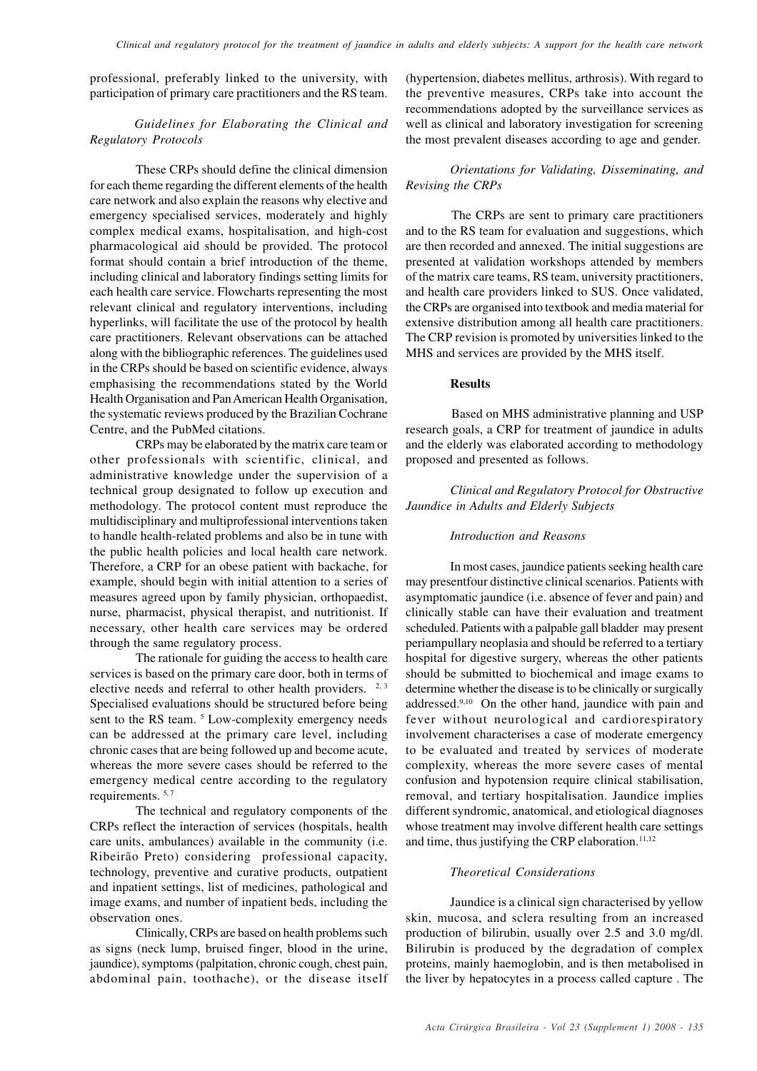professional, preferably linked to the university, with participation of primary care practitioners and the RS team.

*Guidelines for Elaborating the Clinical and Regulatory Protocols*

These CRPs should define the clinical dimension for each theme regarding the different elements of the health care network and also explain the reasons why elective and emergency specialised services, moderately and highly complex medical exams, hospitalisation, and high-cost pharmacological aid should be provided. The protocol format should contain a brief introduction of the theme, including clinical and laboratory findings setting limits for each health care service. Flowcharts representing the most relevant clinical and regulatory interventions, including hyperlinks, will facilitate the use of the protocol by health care practitioners. Relevant observations can be attached along with the bibliographic references. The guidelines used in the CRPs should be based on scientific evidence, always emphasising the recommendations stated by the World Health Organisation and Pan American Health Organisation, the systematic reviews produced by the Brazilian Cochrane Centre, and the PubMed citations.

CRPs may be elaborated by the matrix care team or other professionals with scientific, clinical, and administrative knowledge under the supervision of a technical group designated to follow up execution and methodology. The protocol content must reproduce the multidisciplinary and multiprofessional interventions taken to handle health-related problems and also be in tune with the public health policies and local health care network. Therefore, a CRP for an obese patient with backache, for example, should begin with initial attention to a series of measures agreed upon by family physician, orthopaedist, nurse, pharmacist, physical therapist, and nutritionist. If necessary, other health care services may be ordered through the same regulatory process.

The rationale for guiding the access to health care services is based on the primary care door, both in terms of elective needs and referral to other health providers. <sup>2, 3</sup> Specialised evaluations should be structured before being sent to the RS team.<sup>5</sup> Low-complexity emergency needs can be addressed at the primary care level, including chronic cases that are being followed up and become acute, whereas the more severe cases should be referred to the emergency medical centre according to the regulatory requirements. 5,7

The technical and regulatory components of the CRPs reflect the interaction of services (hospitals, health care units, ambulances) available in the community (i.e. Ribeirão Preto) considering professional capacity, technology, preventive and curative products, outpatient and inpatient settings, list of medicines, pathological and image exams, and number of inpatient beds, including the observation ones.

Clinically, CRPs are based on health problems such as signs (neck lump, bruised finger, blood in the urine, jaundice), symptoms (palpitation, chronic cough, chest pain, abdominal pain, toothache), or the disease itself

(hypertension, diabetes mellitus, arthrosis). With regard to the preventive measures, CRPs take into account the recommendations adopted by the surveillance services as well as clinical and laboratory investigation for screening the most prevalent diseases according to age and gender.

## *Orientations for Validating, Disseminating, and Revising the CRPs*

The CRPs are sent to primary care practitioners and to the RS team for evaluation and suggestions, which are then recorded and annexed. The initial suggestions are presented at validation workshops attended by members of the matrix care teams, RS team, university practitioners, and health care providers linked to SUS. Once validated, the CRPs are organised into textbook and media material for extensive distribution among all health care practitioners. The CRP revision is promoted by universities linked to the MHS and services are provided by the MHS itself.

## **Results**

Based on MHS administrative planning and USP research goals, a CRP for treatment of jaundice in adults and the elderly was elaborated according to methodology proposed and presented as follows.

*Clinical and Regulatory Protocol for Obstructive Jaundice in Adults and Elderly Subjects*

## *Introduction and Reasons*

In most cases, jaundice patients seeking health care may presentfour distinctive clinical scenarios. Patients with asymptomatic jaundice (i.e. absence of fever and pain) and clinically stable can have their evaluation and treatment scheduled. Patients with a palpable gall bladder may present periampullary neoplasia and should be referred to a tertiary hospital for digestive surgery, whereas the other patients should be submitted to biochemical and image exams to determine whether the disease is to be clinically or surgically addressed.9,10 On the other hand, jaundice with pain and fever without neurological and cardiorespiratory involvement characterises a case of moderate emergency to be evaluated and treated by services of moderate complexity, whereas the more severe cases of mental confusion and hypotension require clinical stabilisation, removal, and tertiary hospitalisation. Jaundice implies different syndromic, anatomical, and etiological diagnoses whose treatment may involve different health care settings and time, thus justifying the CRP elaboration.<sup>11,12</sup>

## *Theoretical Considerations*

Jaundice is a clinical sign characterised by yellow skin, mucosa, and sclera resulting from an increased production of bilirubin, usually over 2.5 and 3.0 mg/dl. Bilirubin is produced by the degradation of complex proteins, mainly haemoglobin, and is then metabolised in the liver by hepatocytes in a process called capture . The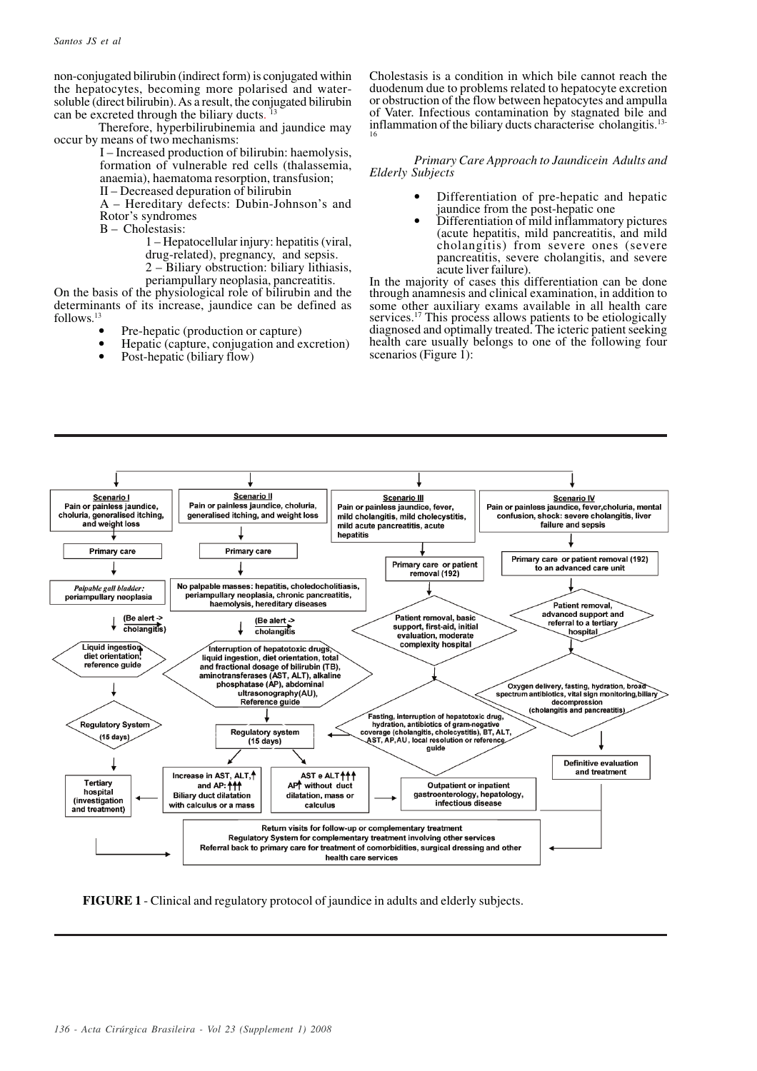non-conjugated bilirubin (indirect form) is conjugated within the hepatocytes, becoming more polarised and watersoluble (direct bilirubin). As a result, the conjugated bilirubin can be excreted through the biliary ducts. 13

Therefore, hyperbilirubinemia and jaundice may occur by means of two mechanisms:

> I – Increased production of bilirubin: haemolysis, formation of vulnerable red cells (thalassemia, anaemia), haematoma resorption, transfusion;

II – Decreased depuration of bilirubin

A – Hereditary defects: Dubin-Johnson's and Rotor's syndromes

B – Cholestasis:

1 – Hepatocellular injury: hepatitis (viral, drug-related), pregnancy, and sepsis. 2 – Biliary obstruction: biliary lithiasis,

periampullary neoplasia, pancreatitis.

On the basis of the physiological role of bilirubin and the determinants of its increase, jaundice can be defined as follows. 13

- Pre-hepatic (production or capture)
- Hepatic (capture, conjugation and excretion)
- Post-hepatic (biliary flow)

Cholestasis is a condition in which bile cannot reach the duodenum due to problems related to hepatocyte excretion or obstruction of the flow between hepatocytes and ampulla of Vater. Infectious contamination by stagnated bile and inflammation of the biliary ducts characterise cholangitis.13- 16

*Primary Care Approach to Jaundicein Adults and Elderly Subjects*

- Differentiation of pre-hepatic and hepatic jaundice from the post-hepatic one
- Differentiation of mild inflammatory pictures (acute hepatitis, mild pancreatitis, and mild cholangitis) from severe ones (severe pancreatitis, severe cholangitis, and severe acute liver failure).

In the majority of cases this differentiation can be done through anamnesis and clinical examination, in addition to some other auxiliary exams available in all health care services.<sup>17</sup> This process allows patients to be etiologically diagnosed and optimally treated. The icteric patient seeking health care usually belongs to one of the following four scenarios (Figure 1):



**FIGURE 1** - Clinical and regulatory protocol of jaundice in adults and elderly subjects.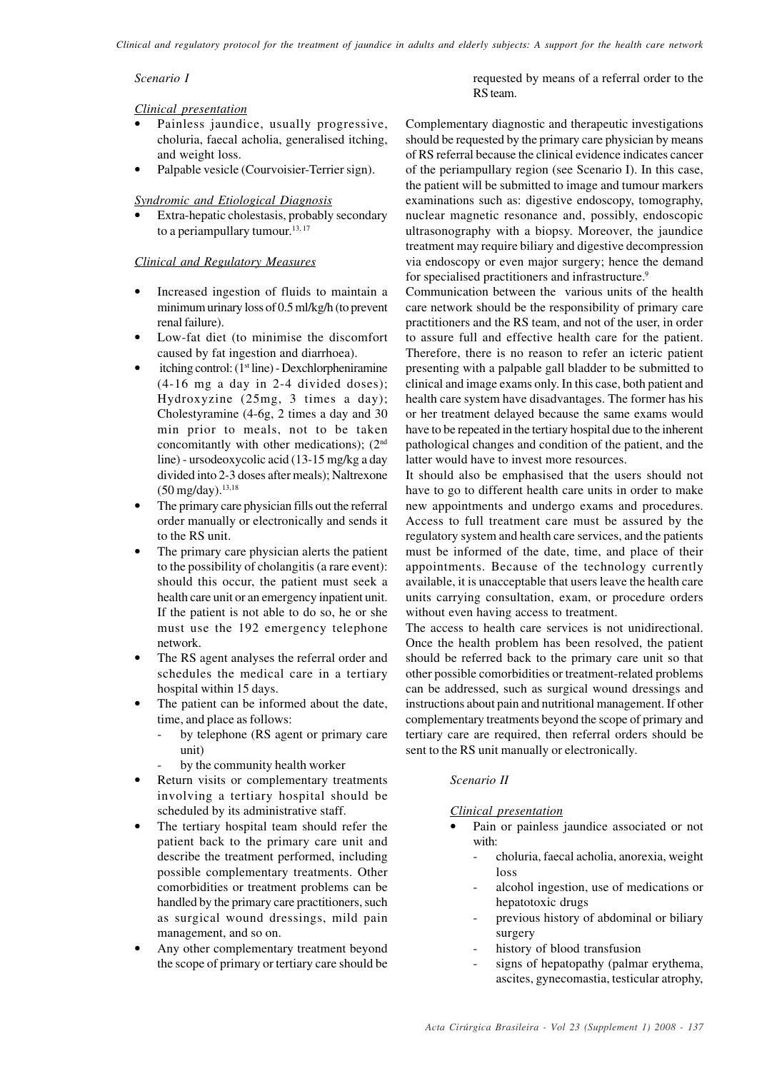*Scenario I*

## *Clinical presentation*

- Painless jaundice, usually progressive, choluria, faecal acholia, generalised itching, and weight loss.
- Palpable vesicle (Courvoisier-Terrier sign).

## *Syndromic and Etiological Diagnosis*

Extra-hepatic cholestasis, probably secondary to a periampullary tumour.<sup>13,17</sup>

## *Clinical and Regulatory Measures*

- Increased ingestion of fluids to maintain a minimum urinary loss of 0.5 ml/kg/h (to prevent renal failure).
- Low-fat diet (to minimise the discomfort caused by fat ingestion and diarrhoea).
- itching control:  $(1<sup>st</sup> line)$  Dexchlorpheniramine (4-16 mg a day in 2-4 divided doses); Hydroxyzine (25mg, 3 times a day); Cholestyramine (4-6g, 2 times a day and 30 min prior to meals, not to be taken concomitantly with other medications);  $(2<sup>nd</sup>$ line) - ursodeoxycolic acid (13-15 mg/kg a day divided into 2-3 doses after meals); Naltrexone  $(50 \text{ mg/day})$ .<sup>13,18</sup>
- The primary care physician fills out the referral order manually or electronically and sends it to the RS unit.
- The primary care physician alerts the patient to the possibility of cholangitis (a rare event): should this occur, the patient must seek a health care unit or an emergency inpatient unit. If the patient is not able to do so, he or she must use the 192 emergency telephone network.
- The RS agent analyses the referral order and schedules the medical care in a tertiary hospital within 15 days.
- The patient can be informed about the date, time, and place as follows:
	- by telephone (RS agent or primary care unit)
	- by the community health worker
- Return visits or complementary treatments involving a tertiary hospital should be scheduled by its administrative staff.
- The tertiary hospital team should refer the patient back to the primary care unit and describe the treatment performed, including possible complementary treatments. Other comorbidities or treatment problems can be handled by the primary care practitioners, such as surgical wound dressings, mild pain management, and so on.
- Any other complementary treatment beyond the scope of primary or tertiary care should be

requested by means of a referral order to the RS team.

Complementary diagnostic and therapeutic investigations should be requested by the primary care physician by means of RS referral because the clinical evidence indicates cancer of the periampullary region (see Scenario I). In this case, the patient will be submitted to image and tumour markers examinations such as: digestive endoscopy, tomography, nuclear magnetic resonance and, possibly, endoscopic ultrasonography with a biopsy. Moreover, the jaundice treatment may require biliary and digestive decompression via endoscopy or even major surgery; hence the demand for specialised practitioners and infrastructure.<sup>9</sup>

Communication between the various units of the health care network should be the responsibility of primary care practitioners and the RS team, and not of the user, in order to assure full and effective health care for the patient. Therefore, there is no reason to refer an icteric patient presenting with a palpable gall bladder to be submitted to clinical and image exams only. In this case, both patient and health care system have disadvantages. The former has his or her treatment delayed because the same exams would have to be repeated in the tertiary hospital due to the inherent pathological changes and condition of the patient, and the latter would have to invest more resources.

It should also be emphasised that the users should not have to go to different health care units in order to make new appointments and undergo exams and procedures. Access to full treatment care must be assured by the regulatory system and health care services, and the patients must be informed of the date, time, and place of their appointments. Because of the technology currently available, it is unacceptable that users leave the health care units carrying consultation, exam, or procedure orders without even having access to treatment.

The access to health care services is not unidirectional. Once the health problem has been resolved, the patient should be referred back to the primary care unit so that other possible comorbidities or treatment-related problems can be addressed, such as surgical wound dressings and instructions about pain and nutritional management. If other complementary treatments beyond the scope of primary and tertiary care are required, then referral orders should be sent to the RS unit manually or electronically.

## *Scenario II*

## *Clinical presentation*

- Pain or painless jaundice associated or not with:
	- choluria, faecal acholia, anorexia, weight loss
	- alcohol ingestion, use of medications or hepatotoxic drugs
	- previous history of abdominal or biliary surgery
	- history of blood transfusion
	- signs of hepatopathy (palmar erythema, ascites, gynecomastia, testicular atrophy,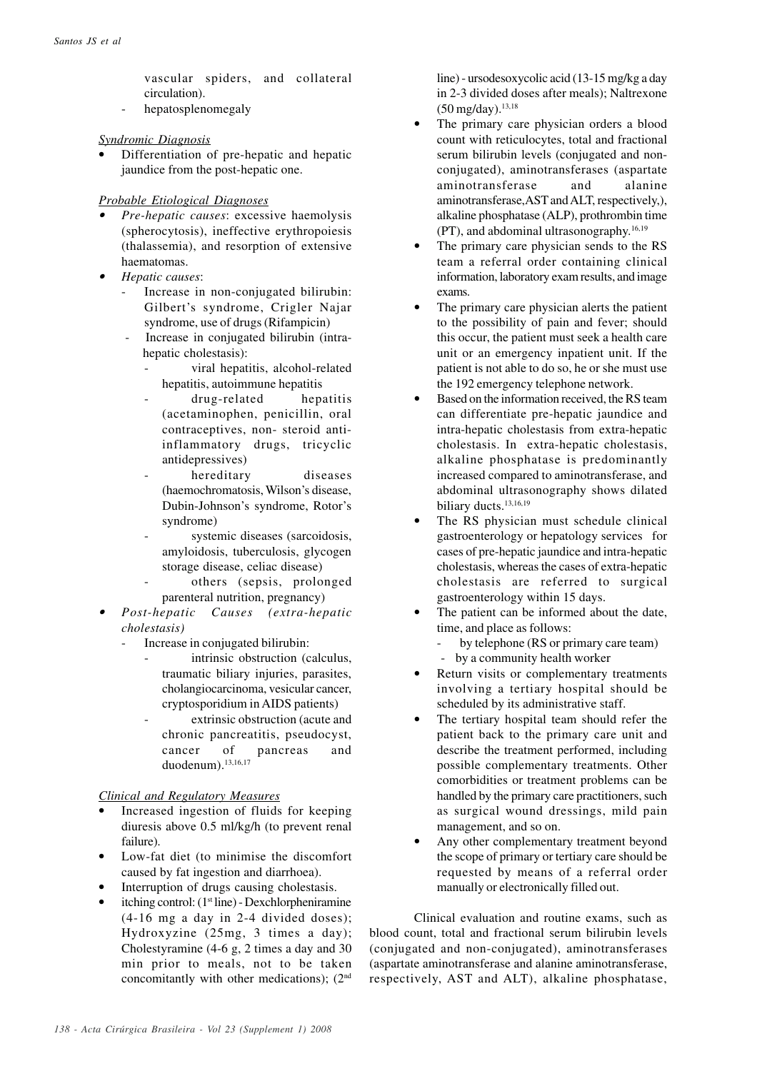vascular spiders, and collateral circulation).

hepatosplenomegaly

## *Syndromic Diagnosis*

• Differentiation of pre-hepatic and hepatic jaundice from the post-hepatic one.

## *Probable Etiological Diagnoses*

- • *Pre-hepatic causes*: excessive haemolysis (spherocytosis), ineffective erythropoiesis (thalassemia), and resorption of extensive haematomas.
- • *Hepatic causes*:
	- Increase in non-conjugated bilirubin: Gilbert's syndrome, Crigler Najar syndrome, use of drugs (Rifampicin)
	- Increase in conjugated bilirubin (intrahepatic cholestasis):
		- viral hepatitis, alcohol-related hepatitis, autoimmune hepatitis
		- drug-related hepatitis (acetaminophen, penicillin, oral contraceptives, non- steroid antiinflammatory drugs, tricyclic antidepressives)
		- hereditary diseases (haemochromatosis, Wilson's disease, Dubin-Johnson's syndrome, Rotor's syndrome)
		- systemic diseases (sarcoidosis, amyloidosis, tuberculosis, glycogen storage disease, celiac disease)
		- others (sepsis, prolonged parenteral nutrition, pregnancy)
- • *Post-hepatic Causes (extra-hepatic cholestasis)*
	- Increase in conjugated bilirubin:
		- intrinsic obstruction (calculus, traumatic biliary injuries, parasites, cholangiocarcinoma, vesicular cancer, cryptosporidium in AIDS patients)
		- extrinsic obstruction (acute and chronic pancreatitis, pseudocyst, cancer of pancreas and duodenum).<sup>13,16,17</sup>

## *Clinical and Regulatory Measures*

- Increased ingestion of fluids for keeping diuresis above 0.5 ml/kg/h (to prevent renal failure).
- Low-fat diet (to minimise the discomfort caused by fat ingestion and diarrhoea).
- Interruption of drugs causing cholestasis.
- itching control: (1st line) Dexchlorpheniramine (4-16 mg a day in 2-4 divided doses); Hydroxyzine (25mg, 3 times a day); Cholestyramine (4-6 g, 2 times a day and 30 min prior to meals, not to be taken concomitantly with other medications); (2nd

line) - ursodesoxycolic acid (13-15 mg/kg a day in 2-3 divided doses after meals); Naltrexone  $(50 \text{ me/day})$ .<sup>13,18</sup>

- The primary care physician orders a blood count with reticulocytes, total and fractional serum bilirubin levels (conjugated and nonconjugated), aminotransferases (aspartate aminotransferase and alanine aminotransferase,AST and ALT, respectively,), alkaline phosphatase (ALP), prothrombin time (PT), and abdominal ultrasonography. 16,19
- The primary care physician sends to the RS team a referral order containing clinical information, laboratory exam results, and image exams.
- The primary care physician alerts the patient to the possibility of pain and fever; should this occur, the patient must seek a health care unit or an emergency inpatient unit. If the patient is not able to do so, he or she must use the 192 emergency telephone network.
- Based on the information received, the RS team can differentiate pre-hepatic jaundice and intra-hepatic cholestasis from extra-hepatic cholestasis. In extra-hepatic cholestasis, alkaline phosphatase is predominantly increased compared to aminotransferase, and abdominal ultrasonography shows dilated biliary ducts.<sup>13,16,19</sup>
- The RS physician must schedule clinical gastroenterology or hepatology services for cases of pre-hepatic jaundice and intra-hepatic cholestasis, whereas the cases of extra-hepatic cholestasis are referred to surgical gastroenterology within 15 days.
- The patient can be informed about the date, time, and place as follows:
	- by telephone (RS or primary care team)
	- by a community health worker
- Return visits or complementary treatments involving a tertiary hospital should be scheduled by its administrative staff.
- The tertiary hospital team should refer the patient back to the primary care unit and describe the treatment performed, including possible complementary treatments. Other comorbidities or treatment problems can be handled by the primary care practitioners, such as surgical wound dressings, mild pain management, and so on.
- Any other complementary treatment beyond the scope of primary or tertiary care should be requested by means of a referral order manually or electronically filled out.

Clinical evaluation and routine exams, such as blood count, total and fractional serum bilirubin levels (conjugated and non-conjugated), aminotransferases (aspartate aminotransferase and alanine aminotransferase, respectively, AST and ALT), alkaline phosphatase,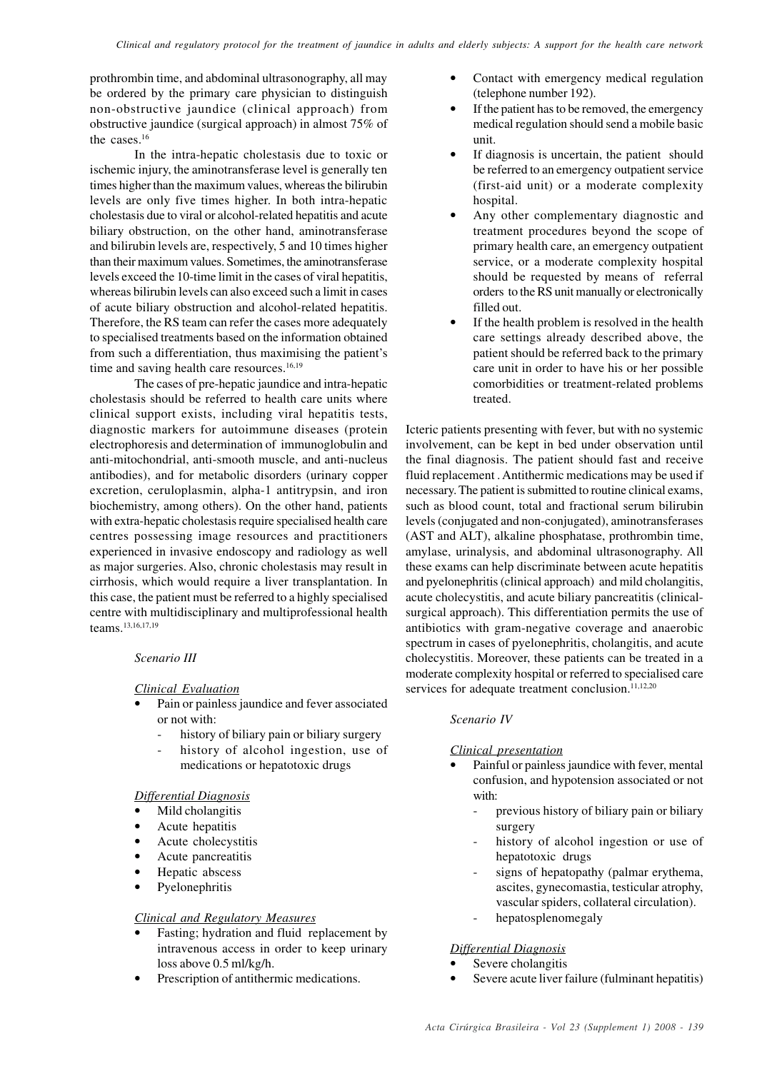prothrombin time, and abdominal ultrasonography, all may be ordered by the primary care physician to distinguish non-obstructive jaundice (clinical approach) from obstructive jaundice (surgical approach) in almost 75% of the cases.<sup>16</sup>

In the intra-hepatic cholestasis due to toxic or ischemic injury, the aminotransferase level is generally ten times higher than the maximum values, whereas the bilirubin levels are only five times higher. In both intra-hepatic cholestasis due to viral or alcohol-related hepatitis and acute biliary obstruction, on the other hand, aminotransferase and bilirubin levels are, respectively, 5 and 10 times higher than their maximum values. Sometimes, the aminotransferase levels exceed the 10-time limit in the cases of viral hepatitis, whereas bilirubin levels can also exceed such a limit in cases of acute biliary obstruction and alcohol-related hepatitis. Therefore, the RS team can refer the cases more adequately to specialised treatments based on the information obtained from such a differentiation, thus maximising the patient's time and saving health care resources.<sup>16,19</sup>

The cases of pre-hepatic jaundice and intra-hepatic cholestasis should be referred to health care units where clinical support exists, including viral hepatitis tests, diagnostic markers for autoimmune diseases (protein electrophoresis and determination of immunoglobulin and anti-mitochondrial, anti-smooth muscle, and anti-nucleus antibodies), and for metabolic disorders (urinary copper excretion, ceruloplasmin, alpha-1 antitrypsin, and iron biochemistry, among others). On the other hand, patients with extra-hepatic cholestasis require specialised health care centres possessing image resources and practitioners experienced in invasive endoscopy and radiology as well as major surgeries. Also, chronic cholestasis may result in cirrhosis, which would require a liver transplantation. In this case, the patient must be referred to a highly specialised centre with multidisciplinary and multiprofessional health teams.13,16,17,19

## *Scenario III*

## *Clinical Evaluation*

- Pain or painless jaundice and fever associated or not with:
	- history of biliary pain or biliary surgery
	- history of alcohol ingestion, use of medications or hepatotoxic drugs

### *Differential Diagnosis*

- Mild cholangitis
- Acute hepatitis
- Acute cholecystitis
- Acute pancreatitis
- Hepatic abscess
- **Pyelonephritis**

### *Clinical and Regulatory Measures*

- Fasting; hydration and fluid replacement by intravenous access in order to keep urinary loss above 0.5 ml/kg/h.
- Prescription of antithermic medications.
- Contact with emergency medical regulation (telephone number 192).
- If the patient has to be removed, the emergency medical regulation should send a mobile basic unit.
- If diagnosis is uncertain, the patient should be referred to an emergency outpatient service (first-aid unit) or a moderate complexity hospital.
- Any other complementary diagnostic and treatment procedures beyond the scope of primary health care, an emergency outpatient service, or a moderate complexity hospital should be requested by means of referral orders to the RS unit manually or electronically filled out.
- If the health problem is resolved in the health care settings already described above, the patient should be referred back to the primary care unit in order to have his or her possible comorbidities or treatment-related problems treated.

Icteric patients presenting with fever, but with no systemic involvement, can be kept in bed under observation until the final diagnosis. The patient should fast and receive fluid replacement . Antithermic medications may be used if necessary. The patient is submitted to routine clinical exams, such as blood count, total and fractional serum bilirubin levels (conjugated and non-conjugated), aminotransferases (AST and ALT), alkaline phosphatase, prothrombin time, amylase, urinalysis, and abdominal ultrasonography. All these exams can help discriminate between acute hepatitis and pyelonephritis (clinical approach) and mild cholangitis, acute cholecystitis, and acute biliary pancreatitis (clinicalsurgical approach). This differentiation permits the use of antibiotics with gram-negative coverage and anaerobic spectrum in cases of pyelonephritis, cholangitis, and acute cholecystitis. Moreover, these patients can be treated in a moderate complexity hospital or referred to specialised care services for adequate treatment conclusion.<sup>11,12,20</sup>

### *Scenario IV*

## *Clinical presentation*

- Painful or painless jaundice with fever, mental confusion, and hypotension associated or not with:
	- previous history of biliary pain or biliary surgery
	- history of alcohol ingestion or use of hepatotoxic drugs
	- signs of hepatopathy (palmar erythema, ascites, gynecomastia, testicular atrophy, vascular spiders, collateral circulation).
	- hepatosplenomegaly

### *Differential Diagnosis*

- Severe cholangitis
- Severe acute liver failure (fulminant hepatitis)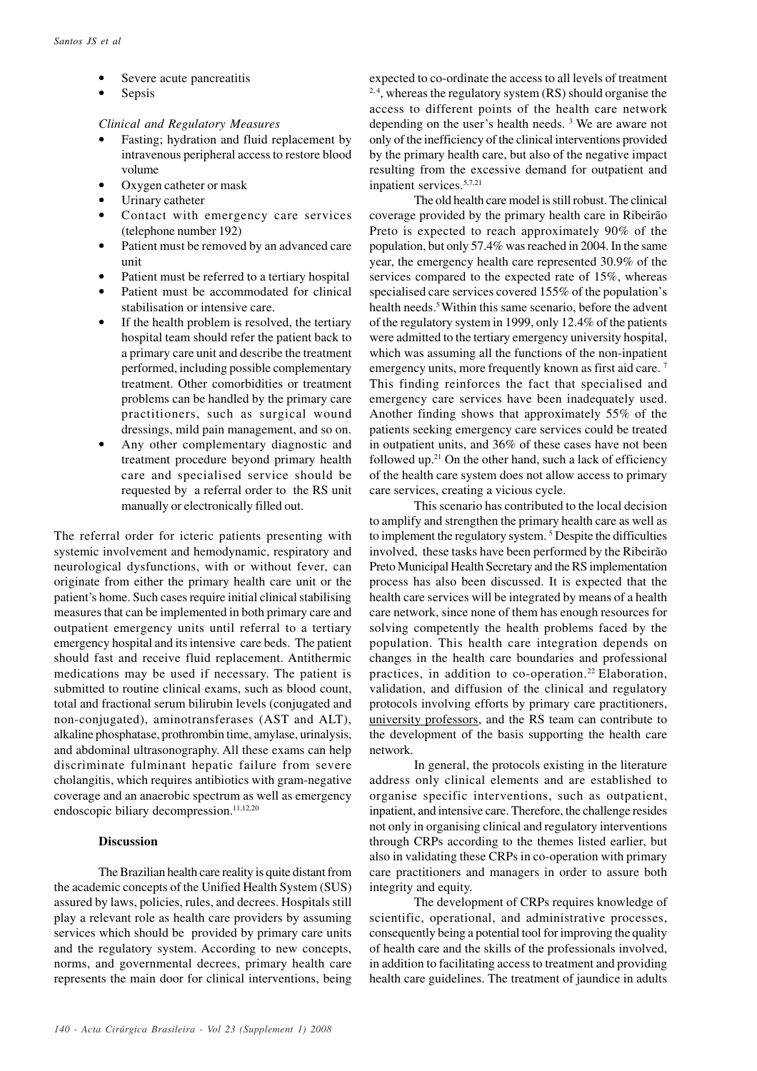- Severe acute pancreatitis
- Sepsis

## *Clinical and Regulatory Measures*

- Fasting; hydration and fluid replacement by intravenous peripheral access to restore blood volume
- Oxygen catheter or mask
- Urinary catheter
- Contact with emergency care services (telephone number 192)
- Patient must be removed by an advanced care unit
- Patient must be referred to a tertiary hospital
- Patient must be accommodated for clinical stabilisation or intensive care.
- If the health problem is resolved, the tertiary hospital team should refer the patient back to a primary care unit and describe the treatment performed, including possible complementary treatment. Other comorbidities or treatment problems can be handled by the primary care practitioners, such as surgical wound dressings, mild pain management, and so on.
- Any other complementary diagnostic and treatment procedure beyond primary health care and specialised service should be requested by a referral order to the RS unit manually or electronically filled out.

The referral order for icteric patients presenting with systemic involvement and hemodynamic, respiratory and neurological dysfunctions, with or without fever, can originate from either the primary health care unit or the patient's home. Such cases require initial clinical stabilising measures that can be implemented in both primary care and outpatient emergency units until referral to a tertiary emergency hospital and its intensive care beds. The patient should fast and receive fluid replacement. Antithermic medications may be used if necessary. The patient is submitted to routine clinical exams, such as blood count, total and fractional serum bilirubin levels (conjugated and non-conjugated), aminotransferases (AST and ALT), alkaline phosphatase, prothrombin time, amylase, urinalysis, and abdominal ultrasonography. All these exams can help discriminate fulminant hepatic failure from severe cholangitis, which requires antibiotics with gram-negative coverage and an anaerobic spectrum as well as emergency endoscopic biliary decompression.<sup>11,12,20</sup>

## **Discussion**

The Brazilian health care reality is quite distant from the academic concepts of the Unified Health System (SUS) assured by laws, policies, rules, and decrees. Hospitals still play a relevant role as health care providers by assuming services which should be provided by primary care units and the regulatory system. According to new concepts, norms, and governmental decrees, primary health care represents the main door for clinical interventions, being expected to co-ordinate the access to all levels of treatment <sup>2,4</sup>, whereas the regulatory system  $(RS)$  should organise the access to different points of the health care network depending on the user's health needs. <sup>3</sup> We are aware not only of the inefficiency of the clinical interventions provided by the primary health care, but also of the negative impact resulting from the excessive demand for outpatient and inpatient services.5,7,21

The old health care model is still robust. The clinical coverage provided by the primary health care in Ribeirão Preto is expected to reach approximately 90% of the population, but only 57.4% was reached in 2004. In the same year, the emergency health care represented 30.9% of the services compared to the expected rate of 15%, whereas specialised care services covered 155% of the population's health needs.<sup>5</sup> Within this same scenario, before the advent of the regulatory system in 1999, only 12.4% of the patients were admitted to the tertiary emergency university hospital, which was assuming all the functions of the non-inpatient emergency units, more frequently known as first aid care.<sup>7</sup> This finding reinforces the fact that specialised and emergency care services have been inadequately used. Another finding shows that approximately 55% of the patients seeking emergency care services could be treated in outpatient units, and 36% of these cases have not been followed up. $21$  On the other hand, such a lack of efficiency of the health care system does not allow access to primary care services, creating a vicious cycle.

This scenario has contributed to the local decision to amplify and strengthen the primary health care as well as to implement the regulatory system.<sup>5</sup> Despite the difficulties involved, these tasks have been performed by the Ribeirão Preto Municipal Health Secretary and the RS implementation process has also been discussed. It is expected that the health care services will be integrated by means of a health care network, since none of them has enough resources for solving competently the health problems faced by the population. This health care integration depends on changes in the health care boundaries and professional practices, in addition to co-operation.<sup>22</sup> Elaboration, validation, and diffusion of the clinical and regulatory protocols involving efforts by primary care practitioners, university professors, and the RS team can contribute to the development of the basis supporting the health care network.

In general, the protocols existing in the literature address only clinical elements and are established to organise specific interventions, such as outpatient, inpatient, and intensive care. Therefore, the challenge resides not only in organising clinical and regulatory interventions through CRPs according to the themes listed earlier, but also in validating these CRPs in co-operation with primary care practitioners and managers in order to assure both integrity and equity.

The development of CRPs requires knowledge of scientific, operational, and administrative processes, consequently being a potential tool for improving the quality of health care and the skills of the professionals involved, in addition to facilitating access to treatment and providing health care guidelines. The treatment of jaundice in adults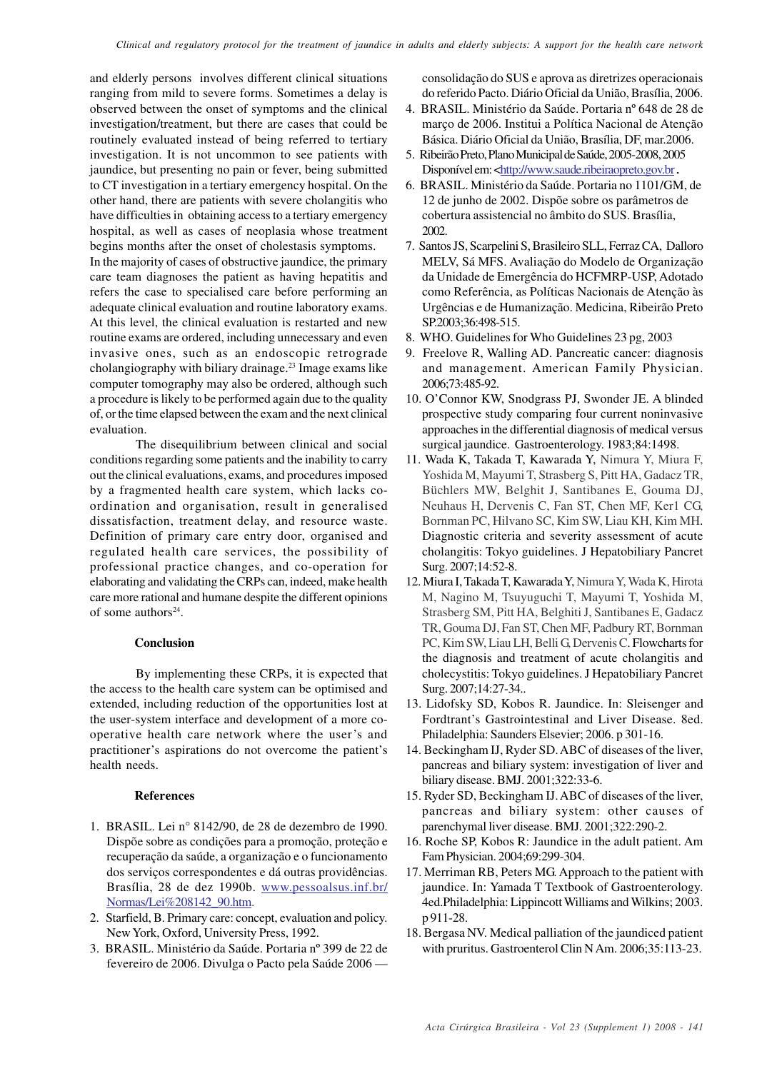and elderly persons involves different clinical situations ranging from mild to severe forms. Sometimes a delay is observed between the onset of symptoms and the clinical investigation/treatment, but there are cases that could be routinely evaluated instead of being referred to tertiary investigation. It is not uncommon to see patients with jaundice, but presenting no pain or fever, being submitted to CT investigation in a tertiary emergency hospital. On the other hand, there are patients with severe cholangitis who have difficulties in obtaining access to a tertiary emergency hospital, as well as cases of neoplasia whose treatment begins months after the onset of cholestasis symptoms. In the majority of cases of obstructive jaundice, the primary care team diagnoses the patient as having hepatitis and refers the case to specialised care before performing an adequate clinical evaluation and routine laboratory exams. At this level, the clinical evaluation is restarted and new routine exams are ordered, including unnecessary and even invasive ones, such as an endoscopic retrograde cholangiography with biliary drainage.23 Image exams like computer tomography may also be ordered, although such a procedure is likely to be performed again due to the quality

evaluation. The disequilibrium between clinical and social conditions regarding some patients and the inability to carry out the clinical evaluations, exams, and procedures imposed by a fragmented health care system, which lacks coordination and organisation, result in generalised dissatisfaction, treatment delay, and resource waste. Definition of primary care entry door, organised and regulated health care services, the possibility of professional practice changes, and co-operation for elaborating and validating the CRPs can, indeed, make health care more rational and humane despite the different opinions of some authors $24$ .

of, or the time elapsed between the exam and the next clinical

### **Conclusion**

By implementing these CRPs, it is expected that the access to the health care system can be optimised and extended, including reduction of the opportunities lost at the user-system interface and development of a more cooperative health care network where the user's and practitioner's aspirations do not overcome the patient's health needs.

### **References**

- 1. BRASIL. Lei n° 8142/90, de 28 de dezembro de 1990. Dispõe sobre as condições para a promoção, proteção e recuperação da saúde, a organização e o funcionamento dos serviços correspondentes e dá outras providências. Brasília, 28 de dez 1990b. www.pessoalsus.inf.br/ Normas/Lei%208142\_90.htm.
- 2. Starfield, B. Primary care: concept, evaluation and policy. New York, Oxford, University Press, 1992.
- 3. BRASIL. Ministério da Saúde. Portaria nº 399 de 22 de fevereiro de 2006. Divulga o Pacto pela Saúde 2006 —

consolidação do SUS e aprova as diretrizes operacionais do referido Pacto. Diário Oficial da União, Brasília, 2006.

- 4. BRASIL. Ministério da Saúde. Portaria nº 648 de 28 de março de 2006. Institui a Política Nacional de Atenção Básica. Diário Oficial da União, Brasília, DF, mar.2006.
- 5. Ribeirão Preto, Plano Municipal de Saúde, 2005-2008, 2005 Disponível em: <http://www.saude.ribeiraopreto.gov.br.
- 6. BRASIL. Ministério da Saúde. Portaria no 1101/GM, de 12 de junho de 2002. Dispõe sobre os parâmetros de cobertura assistencial no âmbito do SUS. Brasília, 2002.
- 7. Santos JS, Scarpelini S, Brasileiro SLL, Ferraz CA, Dalloro MELV, Sá MFS. Avaliação do Modelo de Organização da Unidade de Emergência do HCFMRP-USP, Adotado como Referência, as Políticas Nacionais de Atenção às Urgências e de Humanização. Medicina, Ribeirão Preto SP.2003;36:498-515.
- 8. WHO. Guidelines for Who Guidelines 23 pg, 2003
- 9. Freelove R, Walling AD. Pancreatic cancer: diagnosis and management. American Family Physician. 2006;73:485-92.
- 10. O'Connor KW, Snodgrass PJ, Swonder JE. A blinded prospective study comparing four current noninvasive approaches in the differential diagnosis of medical versus surgical jaundice. Gastroenterology. 1983;84:1498.
- 11. Wada K, Takada T, Kawarada Y, Nimura Y, Miura F, Yoshida M, Mayumi T, Strasberg S, Pitt HA, Gadacz TR, Büchlers MW, Belghit J, Santibanes E, Gouma DJ, Neuhaus H, Dervenis C, Fan ST, Chen MF, Ker1 CG, Bornman PC, Hilvano SC, Kim SW, Liau KH, Kim MH. Diagnostic criteria and severity assessment of acute cholangitis: Tokyo guidelines. J Hepatobiliary Pancret Surg. 2007;14:52-8.
- 12. Miura I, Takada T, Kawarada Y, Nimura Y, Wada K, Hirota M, Nagino M, Tsuyuguchi T, Mayumi T, Yoshida M, Strasberg SM,Pitt HA, Belghiti J, Santibanes E, Gadacz TR, Gouma DJ,Fan ST, Chen MF, Padbury RT, Bornman PC, Kim SW, Liau LH, Belli G, Dervenis C. Flowcharts for the diagnosis and treatment of acute cholangitis and cholecystitis: Tokyo guidelines. J Hepatobiliary Pancret Surg. 2007;14:27-34..
- 13. Lidofsky SD, Kobos R. Jaundice. In: Sleisenger and Fordtrant's Gastrointestinal and Liver Disease. 8ed. Philadelphia: Saunders Elsevier; 2006. p 301-16.
- 14. Beckingham IJ, Ryder SD. ABC of diseases of the liver, pancreas and biliary system: investigation of liver and biliary disease. BMJ. 2001;322:33-6.
- 15. Ryder SD, Beckingham IJ. ABC of diseases of the liver, pancreas and biliary system: other causes of parenchymal liver disease. BMJ*.* 2001;322:290-2.
- 16. Roche SP, Kobos R: Jaundice in the adult patient. Am Fam Physician. 2004;69:299-304.
- 17. Merriman RB, Peters MG. Approach to the patient with jaundice. In: Yamada T Textbook of Gastroenterology. 4ed.Philadelphia: Lippincott Williams and Wilkins; 2003. p 911-28.
- 18. Bergasa NV. Medical palliation of the jaundiced patient with pruritus. Gastroenterol Clin N Am. 2006;35:113-23.